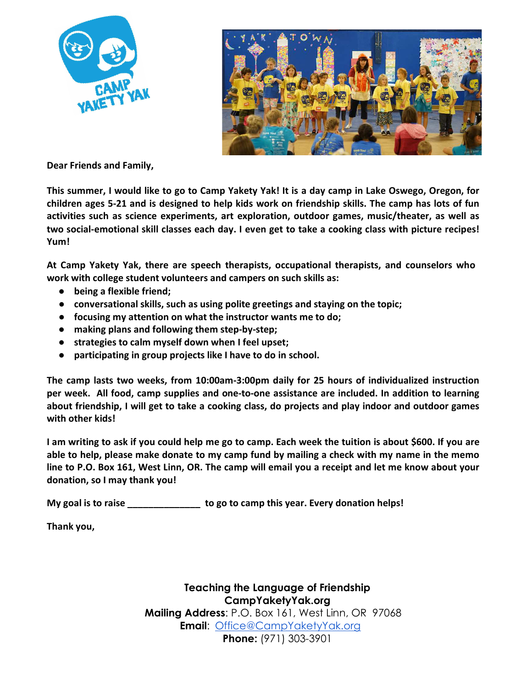



**Dear Friends and Family,**

**This summer, I would like to go to Camp Yakety Yak! It is a day camp in Lake Oswego, Oregon, for children ages 5-21 and is designed to help kids work on friendship skills. The camp has lots of fun activities such as science experiments, art exploration, outdoor games, music/theater, as well as two social-emotional skill classes each day. I even get to take a cooking class with picture recipes! Yum!** 

**At Camp Yakety Yak, there are speech therapists, occupational therapists, and counselors who work with college student volunteers and campers on such skills as:** 

- **being a flexible friend;**
- **conversational skills, such as using polite greetings and staying on the topic;**
- **focusing my attention on what the instructor wants me to do;**
- **making plans and following them step-by-step;**
- **strategies to calm myself down when I feel upset;**
- **participating in group projects like I have to do in school.**

**The camp lasts two weeks, from 10:00am-3:00pm daily for 25 hours of individualized instruction per week. All food, camp supplies and one-to-one assistance are included. In addition to learning about friendship, I will get to take a cooking class, do projects and play indoor and outdoor games with other kids!** 

**I am writing to ask if you could help me go to camp. Each week the tuition is about \$600. If you are able to help, please make donate to my camp fund by mailing a check with my name in the memo line to P.O. Box 161, West Linn, OR. The camp will email you a receipt and let me know about your donation, so I may thank you!** 

**My goal is to raise \_\_\_\_\_\_\_\_\_\_\_\_\_\_ to go to camp this year. Every donation helps!**

**Thank you,** 

**Teaching the Language of Friendship CampYaketyYak.org Mailing Address**: P.O. Box 161, West Linn, OR 97068  **Email**: Office@CampYaketyYak.org **Phone:** (971) 303-3901